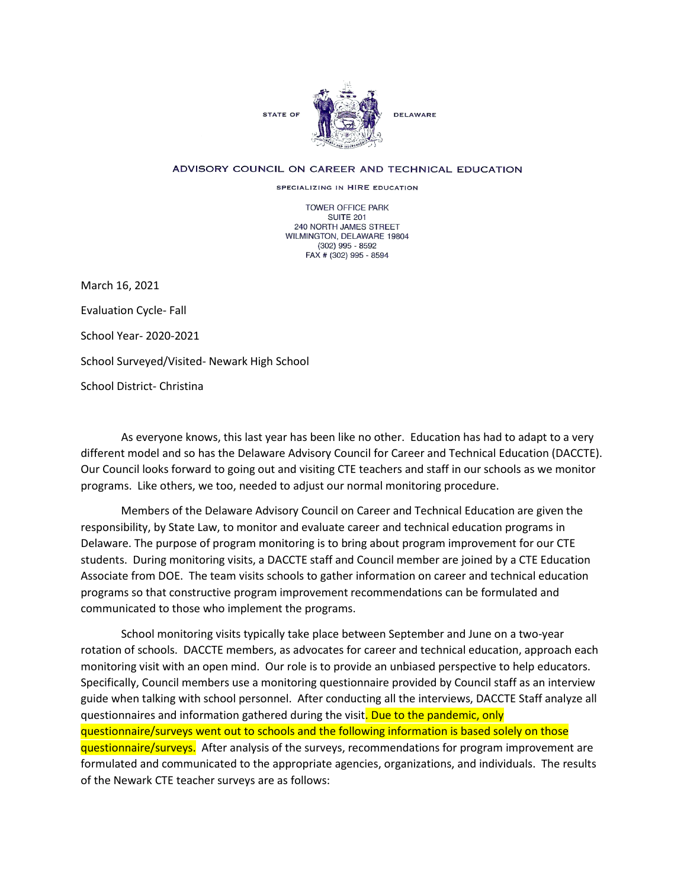

## ADVISORY COUNCIL ON CAREER AND TECHNICAL EDUCATION

SPECIALIZING IN HIRE EDUCATION

**TOWER OFFICE PARK SUITE 201** 240 NORTH JAMES STREET WILMINGTON, DELAWARE 19804  $(302)$  995 - 8592 FAX # (302) 995 - 8594

March 16, 2021 Evaluation Cycle- Fall School Year- 2020-2021 School Surveyed/Visited- Newark High School School District- Christina

As everyone knows, this last year has been like no other. Education has had to adapt to a very different model and so has the Delaware Advisory Council for Career and Technical Education (DACCTE). Our Council looks forward to going out and visiting CTE teachers and staff in our schools as we monitor programs. Like others, we too, needed to adjust our normal monitoring procedure.

Members of the Delaware Advisory Council on Career and Technical Education are given the responsibility, by State Law, to monitor and evaluate career and technical education programs in Delaware. The purpose of program monitoring is to bring about program improvement for our CTE students. During monitoring visits, a DACCTE staff and Council member are joined by a CTE Education Associate from DOE. The team visits schools to gather information on career and technical education programs so that constructive program improvement recommendations can be formulated and communicated to those who implement the programs.

School monitoring visits typically take place between September and June on a two-year rotation of schools. DACCTE members, as advocates for career and technical education, approach each monitoring visit with an open mind. Our role is to provide an unbiased perspective to help educators. Specifically, Council members use a monitoring questionnaire provided by Council staff as an interview guide when talking with school personnel. After conducting all the interviews, DACCTE Staff analyze all questionnaires and information gathered during the visit. Due to the pandemic, only questionnaire/surveys went out to schools and the following information is based solely on those questionnaire/surveys. After analysis of the surveys, recommendations for program improvement are formulated and communicated to the appropriate agencies, organizations, and individuals. The results of the Newark CTE teacher surveys are as follows: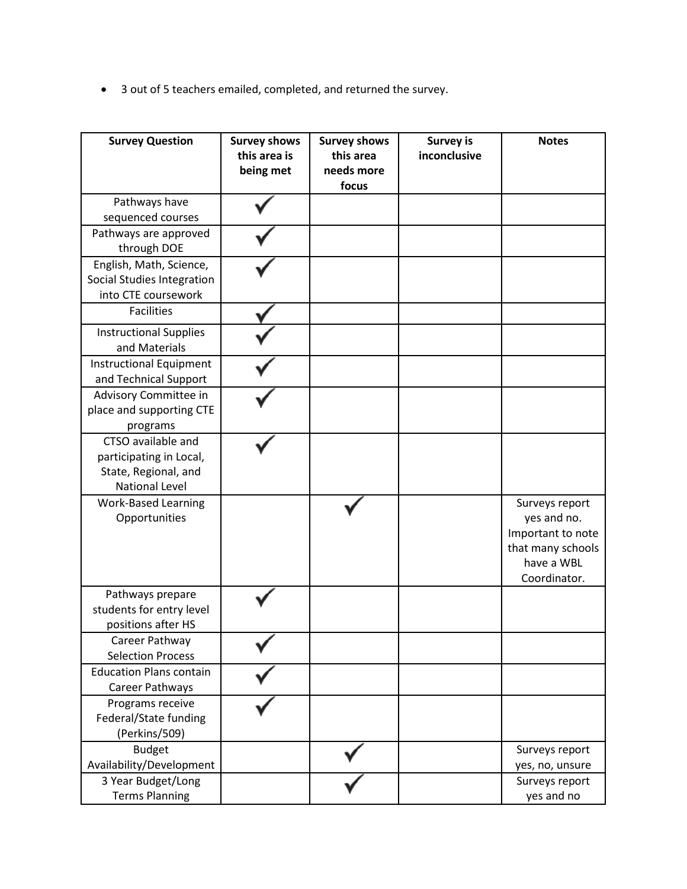• 3 out of 5 teachers emailed, completed, and returned the survey.

| <b>Survey Question</b>                                                                         | <b>Survey shows</b><br>this area is<br>being met | <b>Survey shows</b><br>this area<br>needs more<br>focus | <b>Survey is</b><br>inconclusive | <b>Notes</b>                                                                                          |
|------------------------------------------------------------------------------------------------|--------------------------------------------------|---------------------------------------------------------|----------------------------------|-------------------------------------------------------------------------------------------------------|
| Pathways have<br>sequenced courses                                                             |                                                  |                                                         |                                  |                                                                                                       |
| Pathways are approved                                                                          |                                                  |                                                         |                                  |                                                                                                       |
| through DOE                                                                                    |                                                  |                                                         |                                  |                                                                                                       |
| English, Math, Science,<br>Social Studies Integration<br>into CTE coursework                   |                                                  |                                                         |                                  |                                                                                                       |
| <b>Facilities</b>                                                                              |                                                  |                                                         |                                  |                                                                                                       |
| <b>Instructional Supplies</b><br>and Materials                                                 |                                                  |                                                         |                                  |                                                                                                       |
| <b>Instructional Equipment</b><br>and Technical Support                                        |                                                  |                                                         |                                  |                                                                                                       |
| Advisory Committee in<br>place and supporting CTE<br>programs                                  |                                                  |                                                         |                                  |                                                                                                       |
| CTSO available and<br>participating in Local,<br>State, Regional, and<br><b>National Level</b> |                                                  |                                                         |                                  |                                                                                                       |
| <b>Work-Based Learning</b><br>Opportunities                                                    |                                                  |                                                         |                                  | Surveys report<br>yes and no.<br>Important to note<br>that many schools<br>have a WBL<br>Coordinator. |
| Pathways prepare<br>students for entry level<br>positions after HS                             |                                                  |                                                         |                                  |                                                                                                       |
| Career Pathway<br><b>Selection Process</b>                                                     |                                                  |                                                         |                                  |                                                                                                       |
| <b>Education Plans contain</b><br>Career Pathways                                              |                                                  |                                                         |                                  |                                                                                                       |
| Programs receive<br>Federal/State funding<br>(Perkins/509)                                     |                                                  |                                                         |                                  |                                                                                                       |
| <b>Budget</b><br>Availability/Development                                                      |                                                  |                                                         |                                  | Surveys report<br>yes, no, unsure                                                                     |
| 3 Year Budget/Long<br><b>Terms Planning</b>                                                    |                                                  |                                                         |                                  | Surveys report<br>yes and no                                                                          |